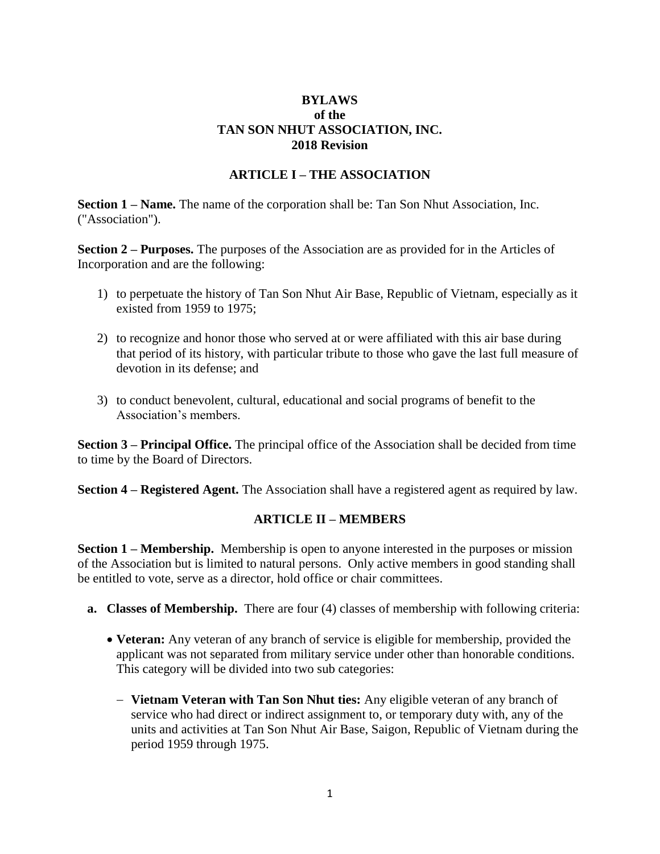### **BYLAWS of the TAN SON NHUT ASSOCIATION, INC. 2018 Revision**

#### **ARTICLE I – THE ASSOCIATION**

**Section 1 – Name.** The name of the corporation shall be: Tan Son Nhut Association, Inc. ("Association").

**Section 2 – Purposes.** The purposes of the Association are as provided for in the Articles of Incorporation and are the following:

- 1) to perpetuate the history of Tan Son Nhut Air Base, Republic of Vietnam, especially as it existed from 1959 to 1975;
- 2) to recognize and honor those who served at or were affiliated with this air base during that period of its history, with particular tribute to those who gave the last full measure of devotion in its defense; and
- 3) to conduct benevolent, cultural, educational and social programs of benefit to the Association's members.

**Section 3 – Principal Office.** The principal office of the Association shall be decided from time to time by the Board of Directors.

**Section 4 – Registered Agent.** The Association shall have a registered agent as required by law.

#### **ARTICLE II – MEMBERS**

**Section 1 – Membership.** Membership is open to anyone interested in the purposes or mission of the Association but is limited to natural persons. Only active members in good standing shall be entitled to vote, serve as a director, hold office or chair committees.

- **a. Classes of Membership.** There are four (4) classes of membership with following criteria:
	- **Veteran:** Any veteran of any branch of service is eligible for membership, provided the applicant was not separated from military service under other than honorable conditions. This category will be divided into two sub categories:
		- − **Vietnam Veteran with Tan Son Nhut ties:** Any eligible veteran of any branch of service who had direct or indirect assignment to, or temporary duty with, any of the units and activities at Tan Son Nhut Air Base, Saigon, Republic of Vietnam during the period 1959 through 1975.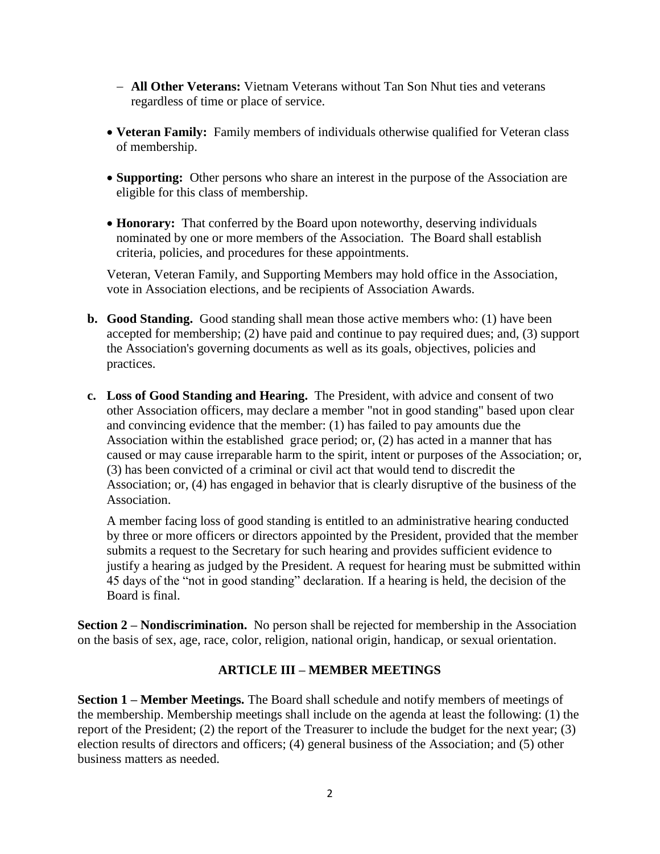- − **All Other Veterans:** Vietnam Veterans without Tan Son Nhut ties and veterans regardless of time or place of service.
- **Veteran Family:** Family members of individuals otherwise qualified for Veteran class of membership.
- **Supporting:** Other persons who share an interest in the purpose of the Association are eligible for this class of membership.
- **Honorary:** That conferred by the Board upon noteworthy, deserving individuals nominated by one or more members of the Association. The Board shall establish criteria, policies, and procedures for these appointments.

Veteran, Veteran Family, and Supporting Members may hold office in the Association, vote in Association elections, and be recipients of Association Awards.

- **b. Good Standing.** Good standing shall mean those active members who: (1) have been accepted for membership; (2) have paid and continue to pay required dues; and, (3) support the Association's governing documents as well as its goals, objectives, policies and practices.
- **c. Loss of Good Standing and Hearing.** The President, with advice and consent of two other Association officers, may declare a member "not in good standing" based upon clear and convincing evidence that the member: (1) has failed to pay amounts due the Association within the established grace period; or, (2) has acted in a manner that has caused or may cause irreparable harm to the spirit, intent or purposes of the Association; or, (3) has been convicted of a criminal or civil act that would tend to discredit the Association; or, (4) has engaged in behavior that is clearly disruptive of the business of the Association.

A member facing loss of good standing is entitled to an administrative hearing conducted by three or more officers or directors appointed by the President, provided that the member submits a request to the Secretary for such hearing and provides sufficient evidence to justify a hearing as judged by the President. A request for hearing must be submitted within 45 days of the "not in good standing" declaration. If a hearing is held, the decision of the Board is final.

**Section 2 – Nondiscrimination.** No person shall be rejected for membership in the Association on the basis of sex, age, race, color, religion, national origin, handicap, or sexual orientation.

## **ARTICLE III – MEMBER MEETINGS**

**Section 1 – Member Meetings.** The Board shall schedule and notify members of meetings of the membership. Membership meetings shall include on the agenda at least the following: (1) the report of the President; (2) the report of the Treasurer to include the budget for the next year; (3) election results of directors and officers; (4) general business of the Association; and (5) other business matters as needed.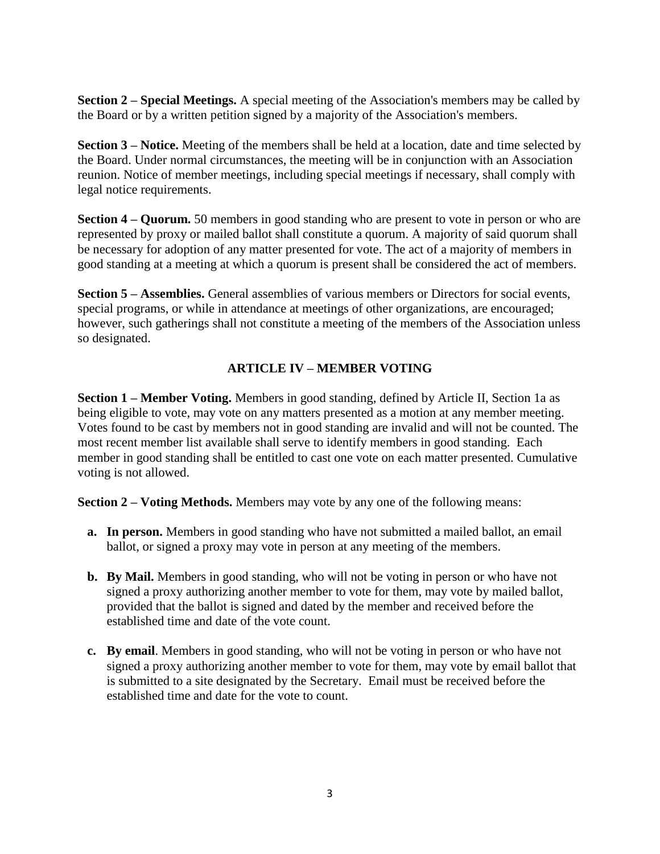**Section 2 – Special Meetings.** A special meeting of the Association's members may be called by the Board or by a written petition signed by a majority of the Association's members.

**Section 3 – Notice.** Meeting of the members shall be held at a location, date and time selected by the Board. Under normal circumstances, the meeting will be in conjunction with an Association reunion. Notice of member meetings, including special meetings if necessary, shall comply with legal notice requirements.

**Section 4 – Quorum.** 50 members in good standing who are present to vote in person or who are represented by proxy or mailed ballot shall constitute a quorum. A majority of said quorum shall be necessary for adoption of any matter presented for vote. The act of a majority of members in good standing at a meeting at which a quorum is present shall be considered the act of members.

**Section 5 – Assemblies.** General assemblies of various members or Directors for social events, special programs, or while in attendance at meetings of other organizations, are encouraged; however, such gatherings shall not constitute a meeting of the members of the Association unless so designated.

# **ARTICLE IV – MEMBER VOTING**

**Section 1 – Member Voting.** Members in good standing, defined by Article II, Section 1a as being eligible to vote, may vote on any matters presented as a motion at any member meeting. Votes found to be cast by members not in good standing are invalid and will not be counted. The most recent member list available shall serve to identify members in good standing. Each member in good standing shall be entitled to cast one vote on each matter presented. Cumulative voting is not allowed.

**Section 2 – Voting Methods.** Members may vote by any one of the following means:

- **a. In person.** Members in good standing who have not submitted a mailed ballot, an email ballot, or signed a proxy may vote in person at any meeting of the members.
- **b. By Mail.** Members in good standing, who will not be voting in person or who have not signed a proxy authorizing another member to vote for them, may vote by mailed ballot, provided that the ballot is signed and dated by the member and received before the established time and date of the vote count.
- **c. By email**. Members in good standing, who will not be voting in person or who have not signed a proxy authorizing another member to vote for them, may vote by email ballot that is submitted to a site designated by the Secretary. Email must be received before the established time and date for the vote to count.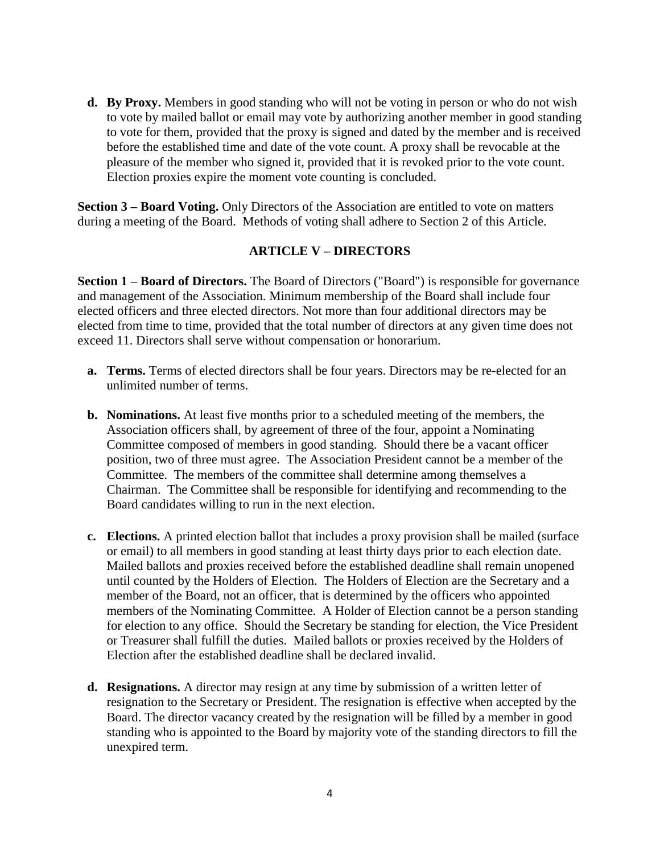**d. By Proxy.** Members in good standing who will not be voting in person or who do not wish to vote by mailed ballot or email may vote by authorizing another member in good standing to vote for them, provided that the proxy is signed and dated by the member and is received before the established time and date of the vote count. A proxy shall be revocable at the pleasure of the member who signed it, provided that it is revoked prior to the vote count. Election proxies expire the moment vote counting is concluded.

**Section 3 – Board Voting.** Only Directors of the Association are entitled to vote on matters during a meeting of the Board. Methods of voting shall adhere to Section 2 of this Article.

#### **ARTICLE V – DIRECTORS**

**Section 1 – Board of Directors.** The Board of Directors ("Board") is responsible for governance and management of the Association. Minimum membership of the Board shall include four elected officers and three elected directors. Not more than four additional directors may be elected from time to time, provided that the total number of directors at any given time does not exceed 11. Directors shall serve without compensation or honorarium.

- **a. Terms.** Terms of elected directors shall be four years. Directors may be re-elected for an unlimited number of terms.
- **b. Nominations.** At least five months prior to a scheduled meeting of the members, the Association officers shall, by agreement of three of the four, appoint a Nominating Committee composed of members in good standing. Should there be a vacant officer position, two of three must agree. The Association President cannot be a member of the Committee. The members of the committee shall determine among themselves a Chairman. The Committee shall be responsible for identifying and recommending to the Board candidates willing to run in the next election.
- **c. Elections.** A printed election ballot that includes a proxy provision shall be mailed (surface or email) to all members in good standing at least thirty days prior to each election date. Mailed ballots and proxies received before the established deadline shall remain unopened until counted by the Holders of Election. The Holders of Election are the Secretary and a member of the Board, not an officer, that is determined by the officers who appointed members of the Nominating Committee. A Holder of Election cannot be a person standing for election to any office. Should the Secretary be standing for election, the Vice President or Treasurer shall fulfill the duties. Mailed ballots or proxies received by the Holders of Election after the established deadline shall be declared invalid.
- **d. Resignations.** A director may resign at any time by submission of a written letter of resignation to the Secretary or President. The resignation is effective when accepted by the Board. The director vacancy created by the resignation will be filled by a member in good standing who is appointed to the Board by majority vote of the standing directors to fill the unexpired term.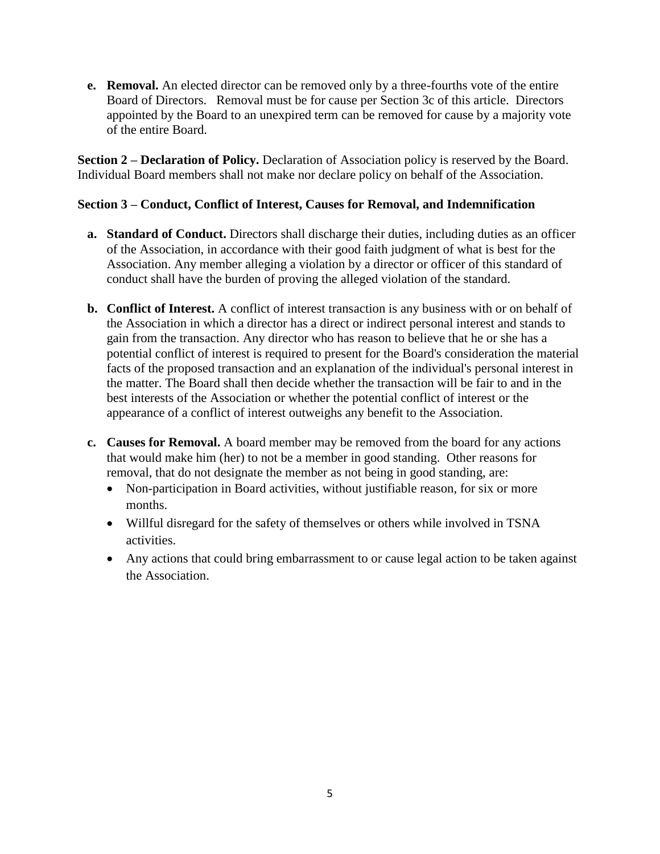**e. Removal.** An elected director can be removed only by a three-fourths vote of the entire Board of Directors. Removal must be for cause per Section 3c of this article. Directors appointed by the Board to an unexpired term can be removed for cause by a majority vote of the entire Board.

**Section 2 – Declaration of Policy.** Declaration of Association policy is reserved by the Board. Individual Board members shall not make nor declare policy on behalf of the Association.

### **Section 3 – Conduct, Conflict of Interest, Causes for Removal, and Indemnification**

- **a. Standard of Conduct.** Directors shall discharge their duties, including duties as an officer of the Association, in accordance with their good faith judgment of what is best for the Association. Any member alleging a violation by a director or officer of this standard of conduct shall have the burden of proving the alleged violation of the standard.
- **b. Conflict of Interest.** A conflict of interest transaction is any business with or on behalf of the Association in which a director has a direct or indirect personal interest and stands to gain from the transaction. Any director who has reason to believe that he or she has a potential conflict of interest is required to present for the Board's consideration the material facts of the proposed transaction and an explanation of the individual's personal interest in the matter. The Board shall then decide whether the transaction will be fair to and in the best interests of the Association or whether the potential conflict of interest or the appearance of a conflict of interest outweighs any benefit to the Association.
- **c. Causes for Removal.** A board member may be removed from the board for any actions that would make him (her) to not be a member in good standing. Other reasons for removal, that do not designate the member as not being in good standing, are:
	- Non-participation in Board activities, without justifiable reason, for six or more months.
	- Willful disregard for the safety of themselves or others while involved in TSNA activities.
	- Any actions that could bring embarrassment to or cause legal action to be taken against the Association.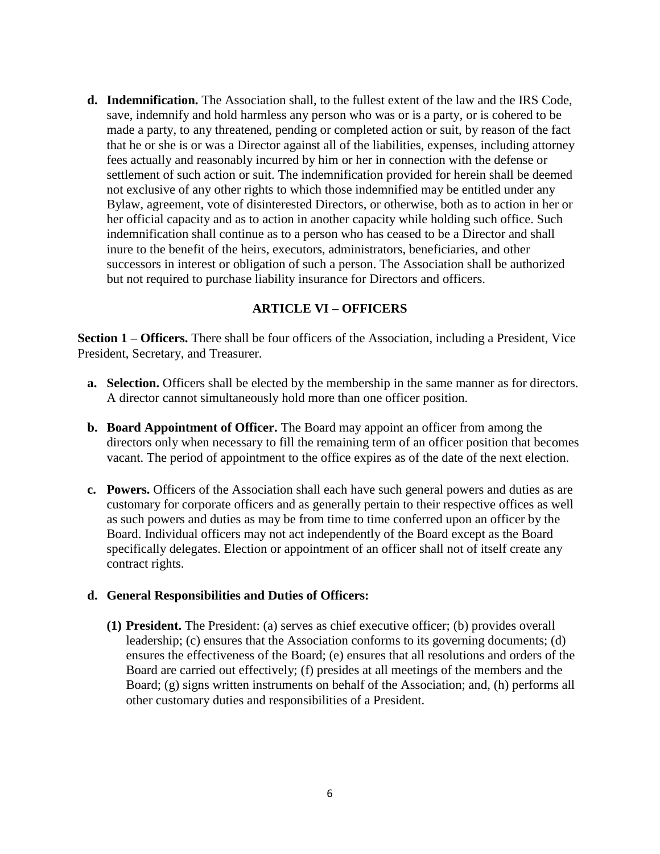**d. Indemnification.** The Association shall, to the fullest extent of the law and the IRS Code, save, indemnify and hold harmless any person who was or is a party, or is cohered to be made a party, to any threatened, pending or completed action or suit, by reason of the fact that he or she is or was a Director against all of the liabilities, expenses, including attorney fees actually and reasonably incurred by him or her in connection with the defense or settlement of such action or suit. The indemnification provided for herein shall be deemed not exclusive of any other rights to which those indemnified may be entitled under any Bylaw, agreement, vote of disinterested Directors, or otherwise, both as to action in her or her official capacity and as to action in another capacity while holding such office. Such indemnification shall continue as to a person who has ceased to be a Director and shall inure to the benefit of the heirs, executors, administrators, beneficiaries, and other successors in interest or obligation of such a person. The Association shall be authorized but not required to purchase liability insurance for Directors and officers.

#### **ARTICLE VI – OFFICERS**

**Section 1 – Officers.** There shall be four officers of the Association, including a President, Vice President, Secretary, and Treasurer.

- **a. Selection.** Officers shall be elected by the membership in the same manner as for directors. A director cannot simultaneously hold more than one officer position.
- **b. Board Appointment of Officer.** The Board may appoint an officer from among the directors only when necessary to fill the remaining term of an officer position that becomes vacant. The period of appointment to the office expires as of the date of the next election.
- **c. Powers.** Officers of the Association shall each have such general powers and duties as are customary for corporate officers and as generally pertain to their respective offices as well as such powers and duties as may be from time to time conferred upon an officer by the Board. Individual officers may not act independently of the Board except as the Board specifically delegates. Election or appointment of an officer shall not of itself create any contract rights.

#### **d. General Responsibilities and Duties of Officers:**

**(1) President.** The President: (a) serves as chief executive officer; (b) provides overall leadership; (c) ensures that the Association conforms to its governing documents; (d) ensures the effectiveness of the Board; (e) ensures that all resolutions and orders of the Board are carried out effectively; (f) presides at all meetings of the members and the Board; (g) signs written instruments on behalf of the Association; and, (h) performs all other customary duties and responsibilities of a President.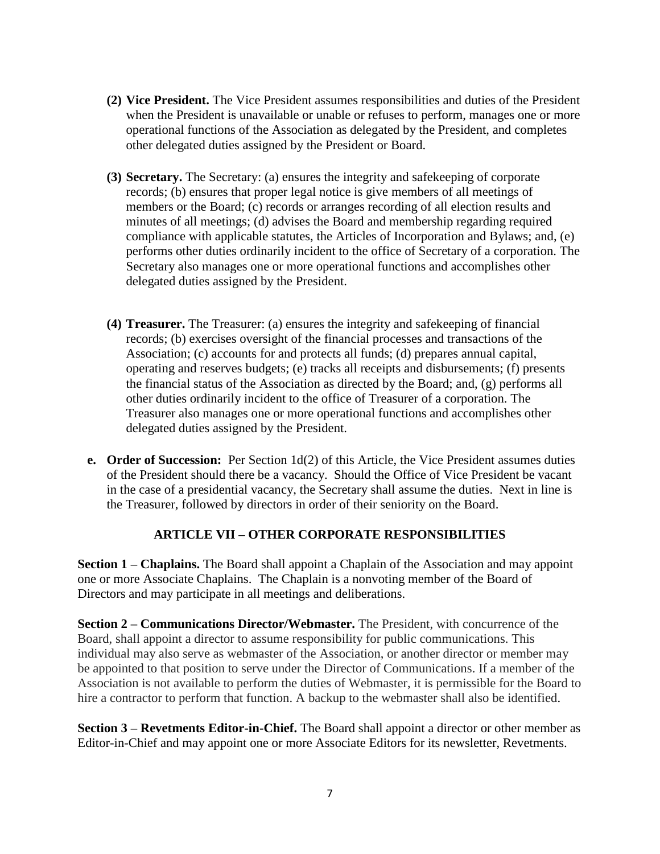- **(2) Vice President.** The Vice President assumes responsibilities and duties of the President when the President is unavailable or unable or refuses to perform, manages one or more operational functions of the Association as delegated by the President, and completes other delegated duties assigned by the President or Board.
- **(3) Secretary.** The Secretary: (a) ensures the integrity and safekeeping of corporate records; (b) ensures that proper legal notice is give members of all meetings of members or the Board; (c) records or arranges recording of all election results and minutes of all meetings; (d) advises the Board and membership regarding required compliance with applicable statutes, the Articles of Incorporation and Bylaws; and, (e) performs other duties ordinarily incident to the office of Secretary of a corporation. The Secretary also manages one or more operational functions and accomplishes other delegated duties assigned by the President.
- **(4) Treasurer.** The Treasurer: (a) ensures the integrity and safekeeping of financial records; (b) exercises oversight of the financial processes and transactions of the Association; (c) accounts for and protects all funds; (d) prepares annual capital, operating and reserves budgets; (e) tracks all receipts and disbursements; (f) presents the financial status of the Association as directed by the Board; and, (g) performs all other duties ordinarily incident to the office of Treasurer of a corporation. The Treasurer also manages one or more operational functions and accomplishes other delegated duties assigned by the President.
- **e. Order of Succession:** Per Section 1d(2) of this Article, the Vice President assumes duties of the President should there be a vacancy. Should the Office of Vice President be vacant in the case of a presidential vacancy, the Secretary shall assume the duties. Next in line is the Treasurer, followed by directors in order of their seniority on the Board.

## **ARTICLE VII – OTHER CORPORATE RESPONSIBILITIES**

**Section 1 – Chaplains.** The Board shall appoint a Chaplain of the Association and may appoint one or more Associate Chaplains. The Chaplain is a nonvoting member of the Board of Directors and may participate in all meetings and deliberations.

**Section 2 – Communications Director/Webmaster.** The President, with concurrence of the Board, shall appoint a director to assume responsibility for public communications. This individual may also serve as webmaster of the Association, or another director or member may be appointed to that position to serve under the Director of Communications. If a member of the Association is not available to perform the duties of Webmaster, it is permissible for the Board to hire a contractor to perform that function. A backup to the webmaster shall also be identified.

**Section 3 – Revetments Editor-in-Chief.** The Board shall appoint a director or other member as Editor-in-Chief and may appoint one or more Associate Editors for its newsletter, Revetments.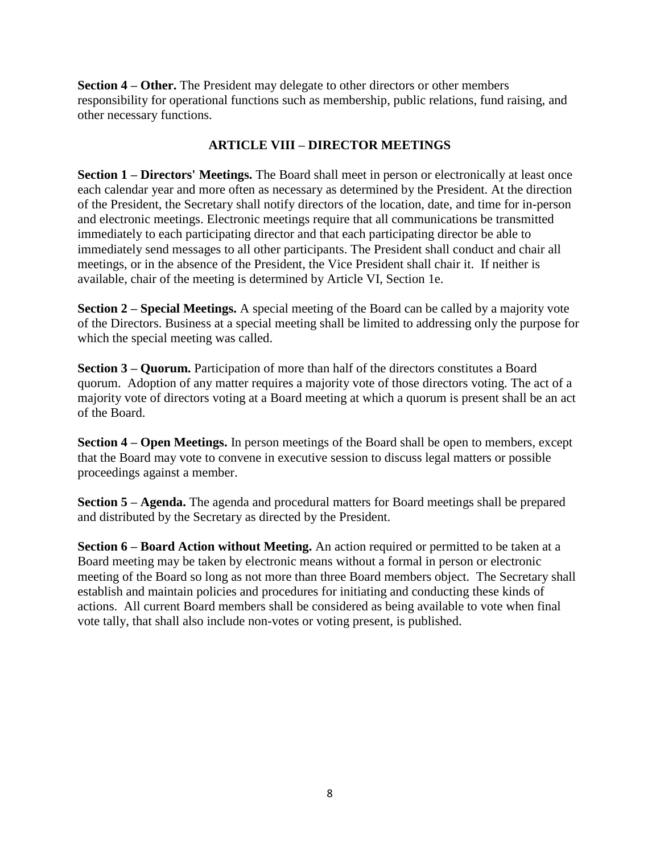**Section 4 – Other.** The President may delegate to other directors or other members responsibility for operational functions such as membership, public relations, fund raising, and other necessary functions.

# **ARTICLE VIII – DIRECTOR MEETINGS**

**Section 1 – Directors' Meetings.** The Board shall meet in person or electronically at least once each calendar year and more often as necessary as determined by the President. At the direction of the President, the Secretary shall notify directors of the location, date, and time for in-person and electronic meetings. Electronic meetings require that all communications be transmitted immediately to each participating director and that each participating director be able to immediately send messages to all other participants. The President shall conduct and chair all meetings, or in the absence of the President, the Vice President shall chair it. If neither is available, chair of the meeting is determined by Article VI, Section 1e.

**Section 2 – Special Meetings.** A special meeting of the Board can be called by a majority vote of the Directors. Business at a special meeting shall be limited to addressing only the purpose for which the special meeting was called.

**Section 3 – Quorum.** Participation of more than half of the directors constitutes a Board quorum. Adoption of any matter requires a majority vote of those directors voting. The act of a majority vote of directors voting at a Board meeting at which a quorum is present shall be an act of the Board.

**Section 4 – Open Meetings.** In person meetings of the Board shall be open to members, except that the Board may vote to convene in executive session to discuss legal matters or possible proceedings against a member.

**Section 5 – Agenda.** The agenda and procedural matters for Board meetings shall be prepared and distributed by the Secretary as directed by the President.

**Section 6 – Board Action without Meeting.** An action required or permitted to be taken at a Board meeting may be taken by electronic means without a formal in person or electronic meeting of the Board so long as not more than three Board members object. The Secretary shall establish and maintain policies and procedures for initiating and conducting these kinds of actions. All current Board members shall be considered as being available to vote when final vote tally, that shall also include non-votes or voting present, is published.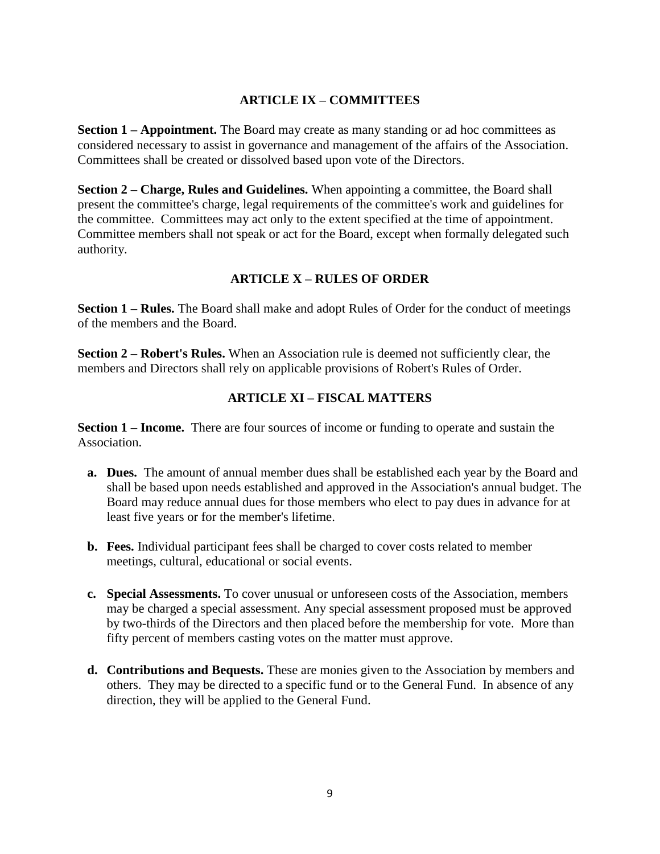### **ARTICLE IX – COMMITTEES**

**Section 1 – Appointment.** The Board may create as many standing or ad hoc committees as considered necessary to assist in governance and management of the affairs of the Association. Committees shall be created or dissolved based upon vote of the Directors.

**Section 2 – Charge, Rules and Guidelines.** When appointing a committee, the Board shall present the committee's charge, legal requirements of the committee's work and guidelines for the committee. Committees may act only to the extent specified at the time of appointment. Committee members shall not speak or act for the Board, except when formally delegated such authority.

## **ARTICLE X – RULES OF ORDER**

**Section 1 – Rules.** The Board shall make and adopt Rules of Order for the conduct of meetings of the members and the Board.

**Section 2 – Robert's Rules.** When an Association rule is deemed not sufficiently clear, the members and Directors shall rely on applicable provisions of Robert's Rules of Order.

#### **ARTICLE XI – FISCAL MATTERS**

**Section 1 – Income.** There are four sources of income or funding to operate and sustain the Association.

- **a. Dues.** The amount of annual member dues shall be established each year by the Board and shall be based upon needs established and approved in the Association's annual budget. The Board may reduce annual dues for those members who elect to pay dues in advance for at least five years or for the member's lifetime.
- **b. Fees.** Individual participant fees shall be charged to cover costs related to member meetings, cultural, educational or social events.
- **c. Special Assessments.** To cover unusual or unforeseen costs of the Association, members may be charged a special assessment. Any special assessment proposed must be approved by two-thirds of the Directors and then placed before the membership for vote. More than fifty percent of members casting votes on the matter must approve.
- **d. Contributions and Bequests.** These are monies given to the Association by members and others. They may be directed to a specific fund or to the General Fund. In absence of any direction, they will be applied to the General Fund.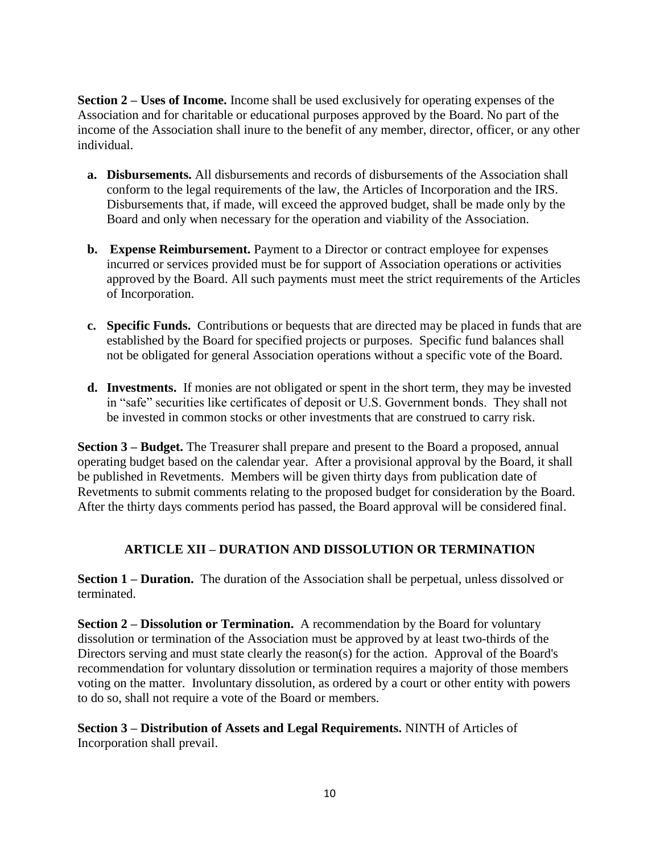**Section 2 – Uses of Income.** Income shall be used exclusively for operating expenses of the Association and for charitable or educational purposes approved by the Board. No part of the income of the Association shall inure to the benefit of any member, director, officer, or any other individual.

- **a. Disbursements.** All disbursements and records of disbursements of the Association shall conform to the legal requirements of the law, the Articles of Incorporation and the IRS. Disbursements that, if made, will exceed the approved budget, shall be made only by the Board and only when necessary for the operation and viability of the Association.
- **b. Expense Reimbursement.** Payment to a Director or contract employee for expenses incurred or services provided must be for support of Association operations or activities approved by the Board. All such payments must meet the strict requirements of the Articles of Incorporation.
- **c. Specific Funds.** Contributions or bequests that are directed may be placed in funds that are established by the Board for specified projects or purposes. Specific fund balances shall not be obligated for general Association operations without a specific vote of the Board.
- **d. Investments.** If monies are not obligated or spent in the short term, they may be invested in "safe" securities like certificates of deposit or U.S. Government bonds. They shall not be invested in common stocks or other investments that are construed to carry risk.

**Section 3 – Budget.** The Treasurer shall prepare and present to the Board a proposed, annual operating budget based on the calendar year. After a provisional approval by the Board, it shall be published in Revetments. Members will be given thirty days from publication date of Revetments to submit comments relating to the proposed budget for consideration by the Board. After the thirty days comments period has passed, the Board approval will be considered final.

# **ARTICLE XII – DURATION AND DISSOLUTION OR TERMINATION**

**Section 1 – Duration.** The duration of the Association shall be perpetual, unless dissolved or terminated.

**Section 2 – Dissolution or Termination.** A recommendation by the Board for voluntary dissolution or termination of the Association must be approved by at least two-thirds of the Directors serving and must state clearly the reason(s) for the action. Approval of the Board's recommendation for voluntary dissolution or termination requires a majority of those members voting on the matter. Involuntary dissolution, as ordered by a court or other entity with powers to do so, shall not require a vote of the Board or members.

**Section 3 – Distribution of Assets and Legal Requirements.** NINTH of Articles of Incorporation shall prevail.